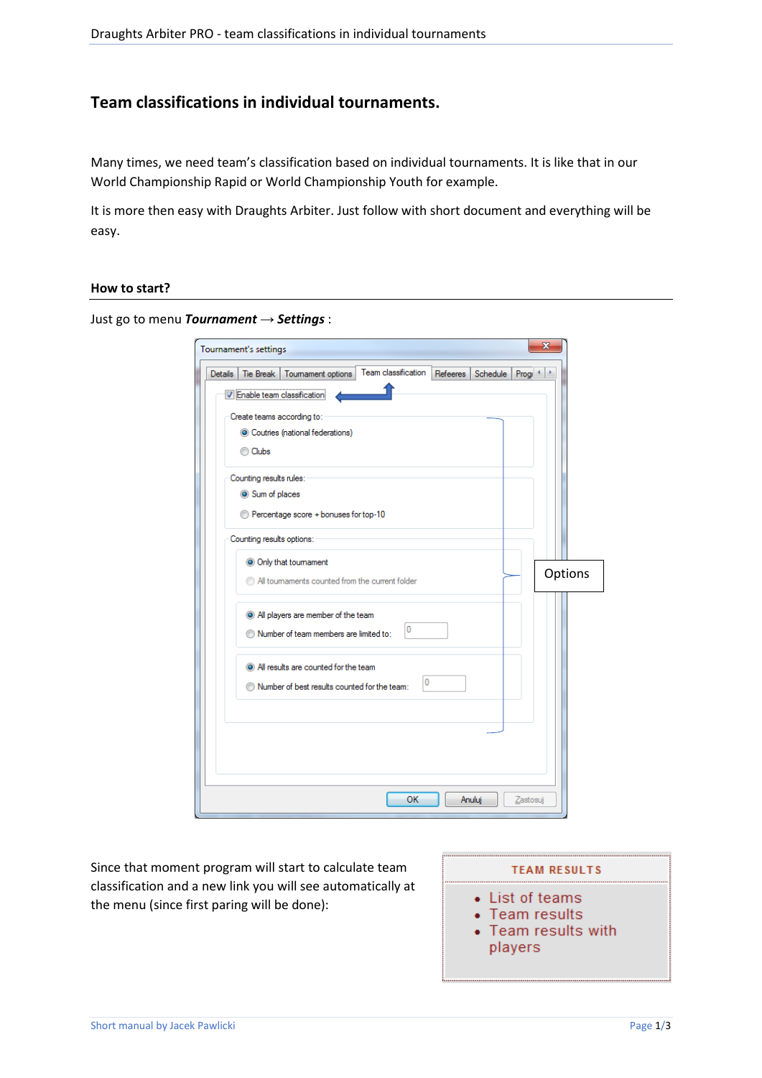# **Team classifications in individual tournaments.**

Many times, we need team's classification based on individual tournaments. It is like that in our World Championship Rapid or World Championship Youth for example.

It is more then easy with Draughts Arbiter. Just follow with short document and everything will be easy.

#### **How to start?**

Just go to menu *Tournament → Settings* :

| Tournament's settings                                                                                                                                                                                  | $\mathbf{x}$ |
|--------------------------------------------------------------------------------------------------------------------------------------------------------------------------------------------------------|--------------|
| Team classification<br><b>Details</b><br>Tie Break<br>Tournament options<br>Refeeres Schedule Progr 1<br>V Enable team classification<br>Create teams according to:<br>Coutries (national federations) |              |
| C Clubs<br>Counting results rules:<br>Sum of places<br>Percentage score + bonuses for top-10                                                                                                           |              |
| Counting results options:<br>O Only that tournament<br>All toumaments counted from the current folder                                                                                                  | Options      |
| All players are member of the team<br>0<br>Number of team members are limited to:                                                                                                                      |              |
| (a) All results are counted for the team<br>0<br>Number of best results counted for the team:                                                                                                          |              |
|                                                                                                                                                                                                        |              |
| OK<br>Anuluj<br>Zastosuj                                                                                                                                                                               |              |

Since that moment program will start to calculate team classification and a new link you will see automatically at the menu (since first paring will be done):

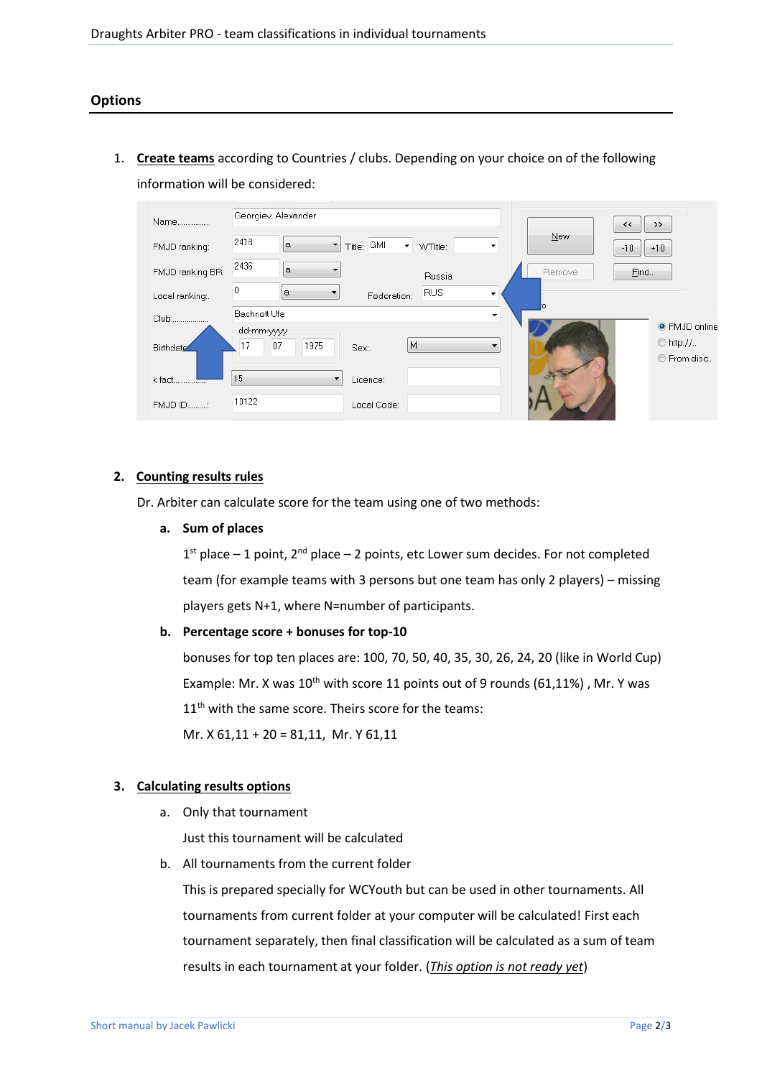1. **Create teams** according to Countries / clubs. Depending on your choice on of the following information will be considered:

| Name             | Georgiev, Alexander                    |                                 |            | $\leftrightarrow$<br>>>                         |
|------------------|----------------------------------------|---------------------------------|------------|-------------------------------------------------|
| FMJD ranking:    | 2418<br>$\alpha$<br>Title:<br>▼        | <b>GMI</b><br>▾<br>WTitle:<br>۰ | <b>New</b> | $-10$<br>$+10$                                  |
| FMJD ranking BR  | 2436<br>$\alpha$                       | Russia                          | Remove     | Eind.                                           |
| Local ranking:.  | $\theta$<br>a<br>▼                     | <b>RUS</b><br>Federation:       |            |                                                 |
| Club:            | Bashneft Ufa                           | ۰                               |            |                                                 |
| <b>Birthdate</b> | dd-mm-yyyy<br>17<br>1975<br>07<br>Sex. | M                               |            | ◎ FMJD online<br>$\circ$ http://<br>C From disc |
| k fact.<br>.     | 15                                     | Licence:                        |            |                                                 |
| FMJD ID:         | 10122                                  | Local Code:                     |            |                                                 |

## **2. Counting results rules**

Dr. Arbiter can calculate score for the team using one of two methods:

**a. Sum of places** 

 $1<sup>st</sup>$  place – 1 point,  $2<sup>nd</sup>$  place – 2 points, etc Lower sum decides. For not completed team (for example teams with 3 persons but one team has only 2 players) – missing players gets N+1, where N=number of participants.

### **b. Percentage score + bonuses for top-10**

bonuses for top ten places are: 100, 70, 50, 40, 35, 30, 26, 24, 20 (like in World Cup) Example: Mr. X was  $10^{th}$  with score 11 points out of 9 rounds (61,11%), Mr. Y was 11<sup>th</sup> with the same score. Theirs score for the teams:

Mr. X 61,11 + 20 = 81,11, Mr. Y 61,11

### **3. Calculating results options**

a. Only that tournament

Just this tournament will be calculated

b. All tournaments from the current folder

This is prepared specially for WCYouth but can be used in other tournaments. All tournaments from current folder at your computer will be calculated! First each tournament separately, then final classification will be calculated as a sum of team results in each tournament at your folder. (*This option is not ready yet*)